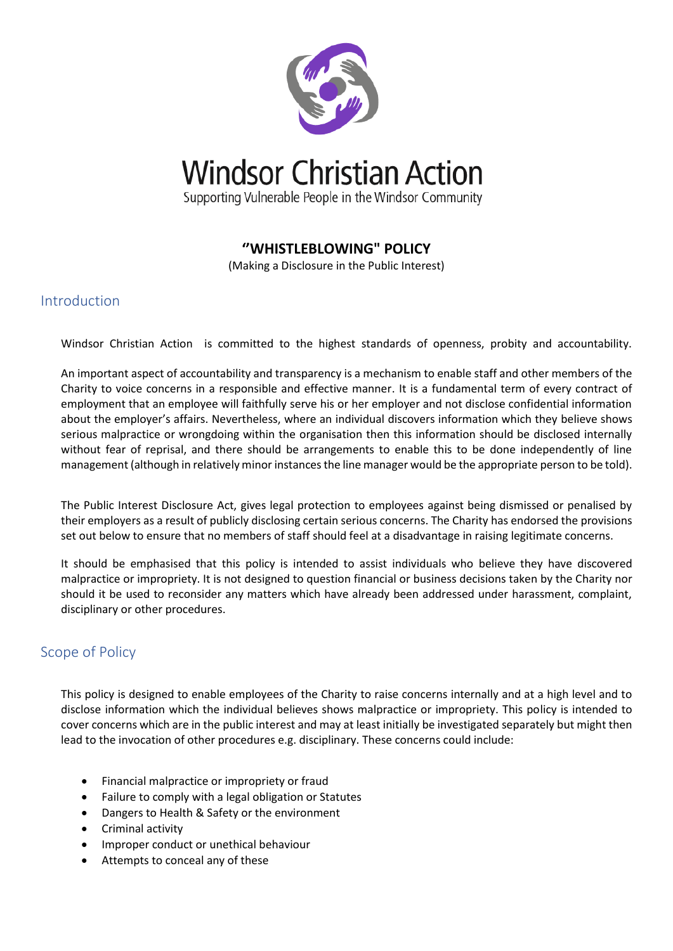

**Windsor Christian Action** 

Supporting Vulnerable People in the Windsor Community

## **''WHISTLEBLOWING" POLICY**

(Making a Disclosure in the Public Interest)

## Introduction

Windsor Christian Action is committed to the highest standards of openness, probity and accountability.

An important aspect of accountability and transparency is a mechanism to enable staff and other members of the Charity to voice concerns in a responsible and effective manner. It is a fundamental term of every contract of employment that an employee will faithfully serve his or her employer and not disclose confidential information about the employer's affairs. Nevertheless, where an individual discovers information which they believe shows serious malpractice or wrongdoing within the organisation then this information should be disclosed internally without fear of reprisal, and there should be arrangements to enable this to be done independently of line management (although in relatively minor instances the line manager would be the appropriate person to be told).

The Public Interest Disclosure Act, gives legal protection to employees against being dismissed or penalised by their employers as a result of publicly disclosing certain serious concerns. The Charity has endorsed the provisions set out below to ensure that no members of staff should feel at a disadvantage in raising legitimate concerns.

It should be emphasised that this policy is intended to assist individuals who believe they have discovered malpractice or impropriety. It is not designed to question financial or business decisions taken by the Charity nor should it be used to reconsider any matters which have already been addressed under harassment, complaint, disciplinary or other procedures.

## Scope of Policy

This policy is designed to enable employees of the Charity to raise concerns internally and at a high level and to disclose information which the individual believes shows malpractice or impropriety. This policy is intended to cover concerns which are in the public interest and may at least initially be investigated separately but might then lead to the invocation of other procedures e.g. disciplinary. These concerns could include:

- Financial malpractice or impropriety or fraud
- Failure to comply with a legal obligation or Statutes
- Dangers to Health & Safety or the environment
- Criminal activity
- Improper conduct or unethical behaviour
- Attempts to conceal any of these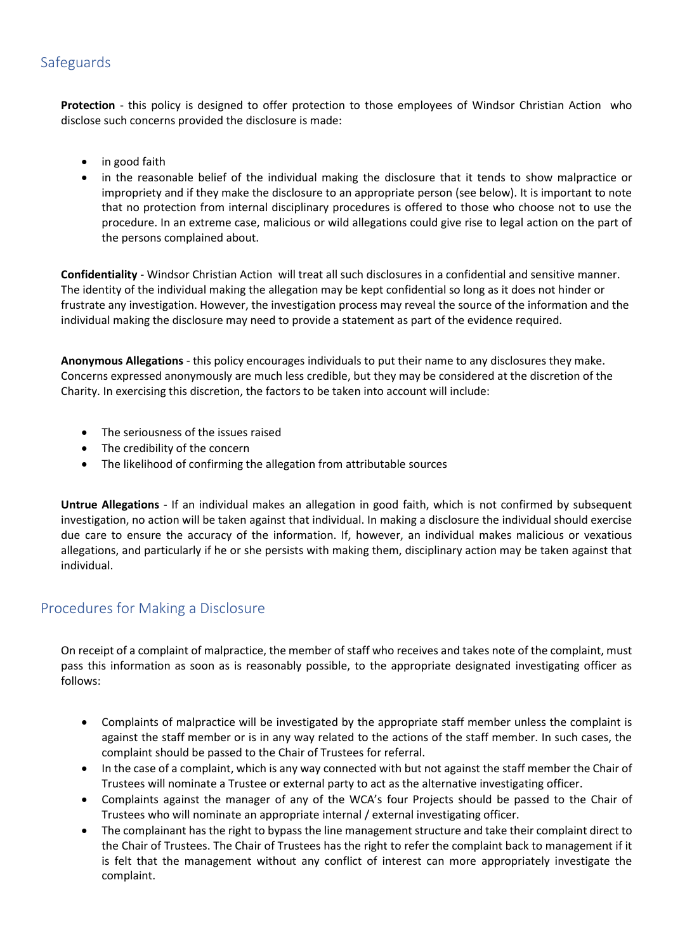# Safeguards

**Protection** - this policy is designed to offer protection to those employees of Windsor Christian Action who disclose such concerns provided the disclosure is made:

- in good faith
- in the reasonable belief of the individual making the disclosure that it tends to show malpractice or impropriety and if they make the disclosure to an appropriate person (see below). It is important to note that no protection from internal disciplinary procedures is offered to those who choose not to use the procedure. In an extreme case, malicious or wild allegations could give rise to legal action on the part of the persons complained about.

**Confidentiality** - Windsor Christian Action will treat all such disclosures in a confidential and sensitive manner. The identity of the individual making the allegation may be kept confidential so long as it does not hinder or frustrate any investigation. However, the investigation process may reveal the source of the information and the individual making the disclosure may need to provide a statement as part of the evidence required.

**Anonymous Allegations** - this policy encourages individuals to put their name to any disclosures they make. Concerns expressed anonymously are much less credible, but they may be considered at the discretion of the Charity. In exercising this discretion, the factors to be taken into account will include:

- The seriousness of the issues raised
- The credibility of the concern
- The likelihood of confirming the allegation from attributable sources

**Untrue Allegations** - If an individual makes an allegation in good faith, which is not confirmed by subsequent investigation, no action will be taken against that individual. In making a disclosure the individual should exercise due care to ensure the accuracy of the information. If, however, an individual makes malicious or vexatious allegations, and particularly if he or she persists with making them, disciplinary action may be taken against that individual.

## Procedures for Making a Disclosure

On receipt of a complaint of malpractice, the member of staff who receives and takes note of the complaint, must pass this information as soon as is reasonably possible, to the appropriate designated investigating officer as follows:

- Complaints of malpractice will be investigated by the appropriate staff member unless the complaint is against the staff member or is in any way related to the actions of the staff member. In such cases, the complaint should be passed to the Chair of Trustees for referral.
- In the case of a complaint, which is any way connected with but not against the staff member the Chair of Trustees will nominate a Trustee or external party to act as the alternative investigating officer.
- Complaints against the manager of any of the WCA's four Projects should be passed to the Chair of Trustees who will nominate an appropriate internal / external investigating officer.
- The complainant has the right to bypass the line management structure and take their complaint direct to the Chair of Trustees. The Chair of Trustees has the right to refer the complaint back to management if it is felt that the management without any conflict of interest can more appropriately investigate the complaint.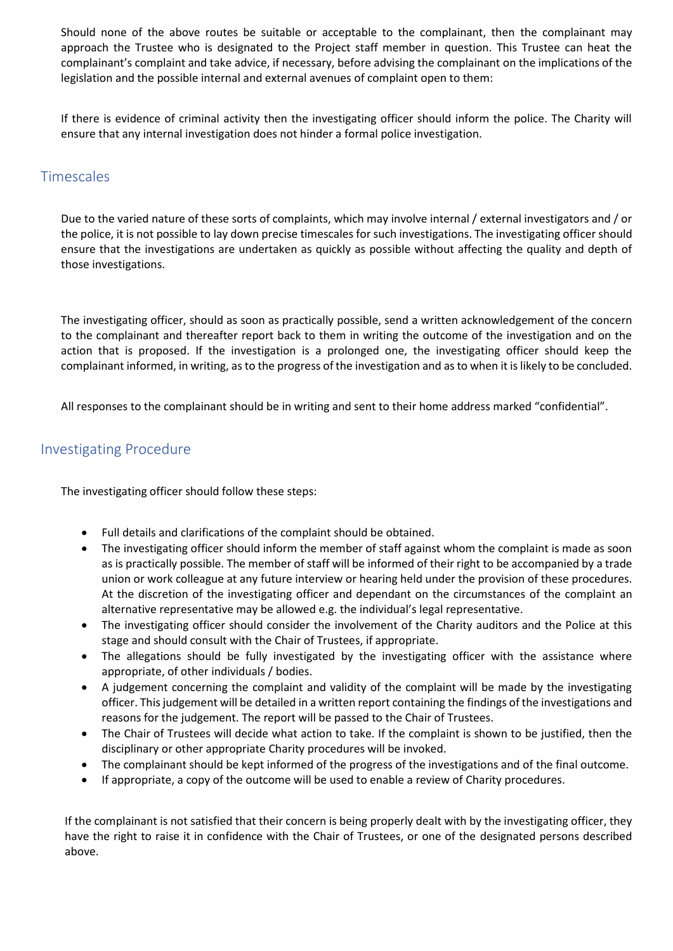Should none of the above routes be suitable or acceptable to the complainant, then the complainant may approach the Trustee who is designated to the Project staff member in question. This Trustee can heat the complainant's complaint and take advice, if necessary, before advising the complainant on the implications of the legislation and the possible internal and external avenues of complaint open to them:

If there is evidence of criminal activity then the investigating officer should inform the police. The Charity will ensure that any internal investigation does not hinder a formal police investigation.

#### **Timescales**

Due to the varied nature of these sorts of complaints, which may involve internal / external investigators and / or the police, it is not possible to lay down precise timescales for such investigations. The investigating officer should ensure that the investigations are undertaken as quickly as possible without affecting the quality and depth of those investigations.

The investigating officer, should as soon as practically possible, send a written acknowledgement of the concern to the complainant and thereafter report back to them in writing the outcome of the investigation and on the action that is proposed. If the investigation is a prolonged one, the investigating officer should keep the complainant informed, in writing, as to the progress of the investigation and as to when it is likely to be concluded.

All responses to the complainant should be in writing and sent to their home address marked "confidential".

## Investigating Procedure

The investigating officer should follow these steps:

- Full details and clarifications of the complaint should be obtained.
- The investigating officer should inform the member of staff against whom the complaint is made as soon as is practically possible. The member of staff will be informed of their right to be accompanied by a trade union or work colleague at any future interview or hearing held under the provision of these procedures. At the discretion of the investigating officer and dependant on the circumstances of the complaint an alternative representative may be allowed e.g. the individual's legal representative.
- The investigating officer should consider the involvement of the Charity auditors and the Police at this stage and should consult with the Chair of Trustees, if appropriate.
- The allegations should be fully investigated by the investigating officer with the assistance where appropriate, of other individuals / bodies.
- A judgement concerning the complaint and validity of the complaint will be made by the investigating officer. This judgement will be detailed in a written report containing the findings of the investigations and reasons for the judgement. The report will be passed to the Chair of Trustees.
- The Chair of Trustees will decide what action to take. If the complaint is shown to be justified, then the disciplinary or other appropriate Charity procedures will be invoked.
- The complainant should be kept informed of the progress of the investigations and of the final outcome.
- If appropriate, a copy of the outcome will be used to enable a review of Charity procedures.

If the complainant is not satisfied that their concern is being properly dealt with by the investigating officer, they have the right to raise it in confidence with the Chair of Trustees, or one of the designated persons described above.